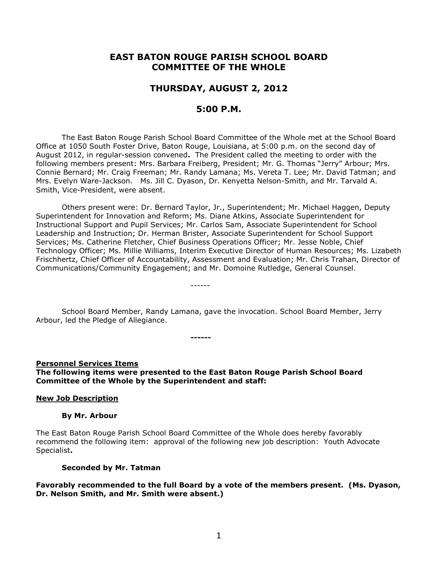# **EAST BATON ROUGE PARISH SCHOOL BOARD COMMITTEE OF THE WHOLE**

# **THURSDAY, AUGUST 2, 2012**

# **5:00 P.M.**

The East Baton Rouge Parish School Board Committee of the Whole met at the School Board Office at 1050 South Foster Drive, Baton Rouge, Louisiana, at 5:00 p.m. on the second day of August 2012, in regular-session convened**.** The President called the meeting to order with the following members present: Mrs. Barbara Freiberg, President; Mr. G. Thomas "Jerry" Arbour; Mrs. Connie Bernard; Mr. Craig Freeman; Mr. Randy Lamana; Ms. Vereta T. Lee; Mr. David Tatman; and Mrs. Evelyn Ware-Jackson. Ms. Jill C. Dyason, Dr. Kenyetta Nelson-Smith, and Mr. Tarvald A. Smith, Vice-President, were absent.

Others present were: Dr. Bernard Taylor, Jr., Superintendent; Mr. Michael Haggen, Deputy Superintendent for Innovation and Reform; Ms. Diane Atkins, Associate Superintendent for Instructional Support and Pupil Services; Mr. Carlos Sam, Associate Superintendent for School Leadership and Instruction; Dr. Herman Brister, Associate Superintendent for School Support Services; Ms. Catherine Fletcher, Chief Business Operations Officer; Mr. Jesse Noble, Chief Technology Officer; Ms. Millie Williams, Interim Executive Director of Human Resources; Ms. Lizabeth Frischhertz, Chief Officer of Accountability, Assessment and Evaluation; Mr. Chris Trahan, Director of Communications/Community Engagement; and Mr. Domoine Rutledge, General Counsel.

School Board Member, Randy Lamana, gave the invocation. School Board Member, Jerry Arbour, led the Pledge of Allegiance.

------

**Personnel Services Items The following items were presented to the East Baton Rouge Parish School Board Committee of the Whole by the Superintendent and staff:**

**------**

#### **New Job Description**

#### **By Mr. Arbour**

The East Baton Rouge Parish School Board Committee of the Whole does hereby favorably recommend the following item: approval of the following new job description: Youth Advocate Specialist**.** 

#### **Seconded by Mr. Tatman**

**Favorably recommended to the full Board by a vote of the members present. (Ms. Dyason, Dr. Nelson Smith, and Mr. Smith were absent.)**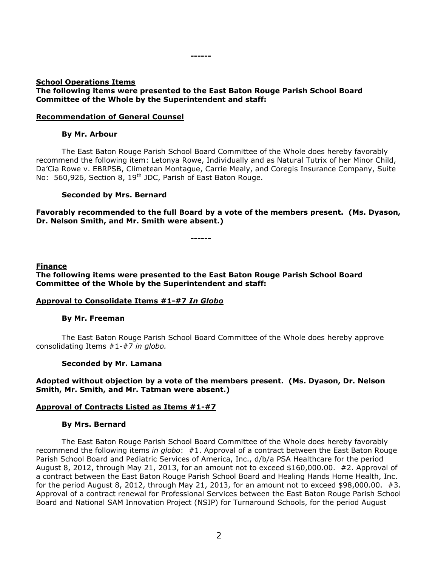#### **------**

#### **School Operations Items The following items were presented to the East Baton Rouge Parish School Board Committee of the Whole by the Superintendent and staff:**

## **Recommendation of General Counsel**

## **By Mr. Arbour**

The East Baton Rouge Parish School Board Committee of the Whole does hereby favorably recommend the following item: Letonya Rowe, Individually and as Natural Tutrix of her Minor Child, Da'Cia Rowe v. EBRPSB, Climetean Montague, Carrie Mealy, and Coregis Insurance Company, Suite No: 560,926, Section 8, 19<sup>th</sup> JDC, Parish of East Baton Rouge.

## **Seconded by Mrs. Bernard**

**Favorably recommended to the full Board by a vote of the members present. (Ms. Dyason, Dr. Nelson Smith, and Mr. Smith were absent.)**

**------**

#### **Finance**

**The following items were presented to the East Baton Rouge Parish School Board Committee of the Whole by the Superintendent and staff:**

#### **Approval to Consolidate Items #1-#7** *In Globo*

#### **By Mr. Freeman**

The East Baton Rouge Parish School Board Committee of the Whole does hereby approve consolidating Items #1-#7 *in globo.* 

#### **Seconded by Mr. Lamana**

## **Adopted without objection by a vote of the members present. (Ms. Dyason, Dr. Nelson Smith, Mr. Smith, and Mr. Tatman were absent.)**

#### **Approval of Contracts Listed as Items #1-#7**

#### **By Mrs. Bernard**

The East Baton Rouge Parish School Board Committee of the Whole does hereby favorably recommend the following items *in globo*: #1. Approval of a contract between the East Baton Rouge Parish School Board and Pediatric Services of America, Inc., d/b/a PSA Healthcare for the period August 8, 2012, through May 21, 2013, for an amount not to exceed \$160,000.00. #2. Approval of a contract between the East Baton Rouge Parish School Board and Healing Hands Home Health, Inc. for the period August 8, 2012, through May 21, 2013, for an amount not to exceed \$98,000.00. #3. Approval of a contract renewal for Professional Services between the East Baton Rouge Parish School Board and National SAM Innovation Project (NSIP) for Turnaround Schools, for the period August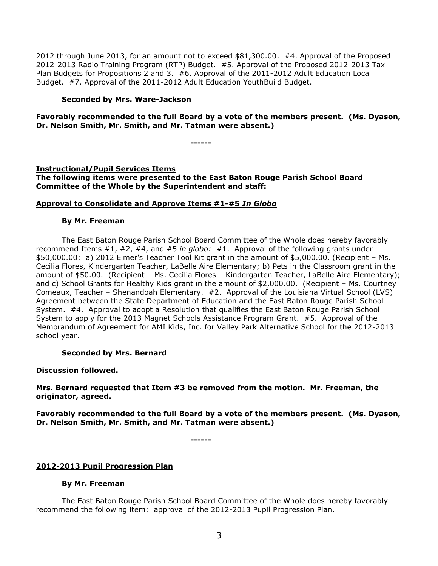2012 through June 2013, for an amount not to exceed \$81,300.00. #4. Approval of the Proposed 2012-2013 Radio Training Program (RTP) Budget. #5. Approval of the Proposed 2012-2013 Tax Plan Budgets for Propositions 2 and 3. #6. Approval of the 2011-2012 Adult Education Local Budget. #7. Approval of the 2011-2012 Adult Education YouthBuild Budget.

## **Seconded by Mrs. Ware-Jackson**

## **Favorably recommended to the full Board by a vote of the members present. (Ms. Dyason, Dr. Nelson Smith, Mr. Smith, and Mr. Tatman were absent.)**

**------**

## **Instructional/Pupil Services Items**

**The following items were presented to the East Baton Rouge Parish School Board Committee of the Whole by the Superintendent and staff:**

## **Approval to Consolidate and Approve Items #1-#5** *In Globo*

#### **By Mr. Freeman**

The East Baton Rouge Parish School Board Committee of the Whole does hereby favorably recommend Items #1, #2, #4, and #5 *in globo:* #1. Approval of the following grants under \$50,000.00: a) 2012 Elmer's Teacher Tool Kit grant in the amount of \$5,000.00. (Recipient – Ms. Cecilia Flores, Kindergarten Teacher, LaBelle Aire Elementary; b) Pets in the Classroom grant in the amount of \$50.00. (Recipient – Ms. Cecilia Flores – Kindergarten Teacher, LaBelle Aire Elementary); and c) School Grants for Healthy Kids grant in the amount of \$2,000.00. (Recipient – Ms. Courtney Comeaux, Teacher – Shenandoah Elementary. #2. Approval of the Louisiana Virtual School (LVS) Agreement between the State Department of Education and the East Baton Rouge Parish School System. #4. Approval to adopt a Resolution that qualifies the East Baton Rouge Parish School System to apply for the 2013 Magnet Schools Assistance Program Grant. #5. Approval of the Memorandum of Agreement for AMI Kids, Inc. for Valley Park Alternative School for the 2012-2013 school year.

#### **Seconded by Mrs. Bernard**

#### **Discussion followed.**

## **Mrs. Bernard requested that Item #3 be removed from the motion. Mr. Freeman, the originator, agreed.**

**Favorably recommended to the full Board by a vote of the members present. (Ms. Dyason, Dr. Nelson Smith, Mr. Smith, and Mr. Tatman were absent.)**

**------**

## **2012-2013 Pupil Progression Plan**

## **By Mr. Freeman**

The East Baton Rouge Parish School Board Committee of the Whole does hereby favorably recommend the following item: approval of the 2012-2013 Pupil Progression Plan.